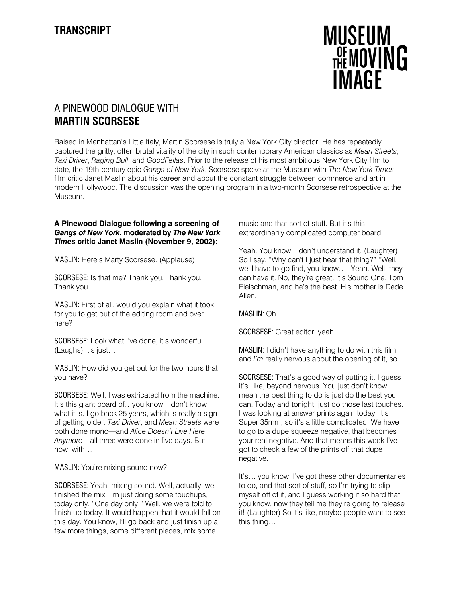

# A PINEWOOD DIALOGUE WITH **MARTIN SCORSESE**

Raised in Manhattan's Little Italy, Martin Scorsese is truly a New York City director. He has repeatedly captured the gritty, often brutal vitality of the city in such contemporary American classics as *Mean Streets*, *Taxi Driver*, *Raging Bull*, and *GoodFellas*. Prior to the release of his most ambitious New York City film to date, the 19th-century epic *Gangs of New York*, Scorsese spoke at the Museum with *The New York Times* film critic Janet Maslin about his career and about the constant struggle between commerce and art in modern Hollywood. The discussion was the opening program in a two-month Scorsese retrospective at the Museum.

## **A Pinewood Dialogue following a screening of** *Gangs of New York***, moderated by** *The New York Times* **critic Janet Maslin (November 9, 2002):**

MASLIN: Here's Marty Scorsese. (Applause)

SCORSESE: Is that me? Thank you. Thank you. Thank you.

MASLIN: First of all, would you explain what it took for you to get out of the editing room and over here?

SCORSESE: Look what I've done, it's wonderful! (Laughs) It's just…

MASLIN: How did you get out for the two hours that you have?

SCORSESE: Well, I was extricated from the machine. It's this giant board of…you know, I don't know what it is. I go back 25 years, which is really a sign of getting older. *Taxi Driver*, and *Mean Streets* were both done mono—and *Alice Doesn't Live Here Anymore*—all three were done in five days. But now, with…

MASLIN: You're mixing sound now?

SCORSESE: Yeah, mixing sound. Well, actually, we finished the mix; I'm just doing some touchups, today only. "One day only!" Well, we were told to finish up today. It would happen that it would fall on this day. You know, I'll go back and just finish up a few more things, some different pieces, mix some

music and that sort of stuff. But it's this extraordinarily complicated computer board.

Yeah. You know, I don't understand it. (Laughter) So I say, "Why can't I just hear that thing?" "Well, we'll have to go find, you know…" Yeah. Well, they can have it. No, they're great. It's Sound One, Tom Fleischman, and he's the best. His mother is Dede Allen.

MASLIN: Oh…

SCORSESE: Great editor, yeah.

MASLIN: I didn't have anything to do with this film, and *I'm* really nervous about the opening of it, so…

SCORSESE: That's a good way of putting it. I guess it's, like, beyond nervous. You just don't know; I mean the best thing to do is just do the best you can. Today and tonight, just do those last touches. I was looking at answer prints again today. It's Super 35mm, so it's a little complicated. We have to go to a dupe squeeze negative, that becomes your real negative. And that means this week I've got to check a few of the prints off that dupe negative.

It's… you know, I've got these other documentaries to do, and that sort of stuff, so I'm trying to slip myself off of it, and I guess working it so hard that, you know, now they tell me they're going to release it! (Laughter) So it's like, maybe people want to see this thing…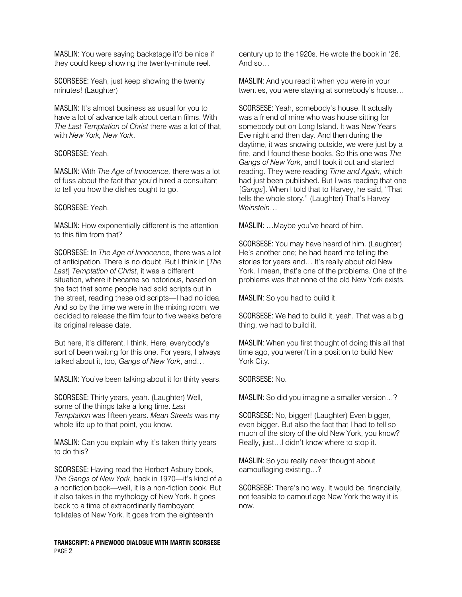MASLIN: You were saying backstage it'd be nice if they could keep showing the twenty-minute reel.

SCORSESE: Yeah, just keep showing the twenty minutes! (Laughter)

MASLIN: It's almost business as usual for you to have a lot of advance talk about certain films. With *The Last Temptation of Christ* there was a lot of that, with *New York, New York*.

## SCORSESE: Yeah.

MASLIN: With *The Age of Innocence,* there was a lot of fuss about the fact that you'd hired a consultant to tell you how the dishes ought to go.

## SCORSESE: Yeah.

MASLIN: How exponentially different is the attention to this film from that?

SCORSESE: In *The Age of Innocence*, there was a lot of anticipation. There is no doubt. But I think in [*The Last*] *Temptation of Christ*, it was a different situation, where it became so notorious, based on the fact that some people had sold scripts out in the street, reading these old scripts—I had no idea. And so by the time we were in the mixing room, we decided to release the film four to five weeks before its original release date.

But here, it's different, I think. Here, everybody's sort of been waiting for this one. For years, I always talked about it, too, *Gangs of New York*, and…

MASLIN: You've been talking about it for thirty years.

SCORSESE: Thirty years, yeah. (Laughter) Well, some of the things take a long time. *Last Temptation* was fifteen years. *Mean Streets* was my whole life up to that point, you know.

MASLIN: Can you explain why it's taken thirty years to do this?

SCORSESE: Having read the Herbert Asbury book, *The Gangs of New York*, back in 1970—it's kind of a a nonfiction book—well, it is a non-fiction book. But it also takes in the mythology of New York. It goes back to a time of extraordinarily flamboyant folktales of New York. It goes from the eighteenth

### **TRANSCRIPT: A PINEWOOD DIALOGUE WITH MARTIN SCORSESE**  PAGE 2

century up to the 1920s. He wrote the book in '26. And so…

MASLIN: And you read it when you were in your twenties, you were staying at somebody's house…

SCORSESE: Yeah, somebody's house. It actually was a friend of mine who was house sitting for somebody out on Long Island. It was New Years Eve night and then day. And then during the daytime, it was snowing outside, we were just by a fire, and I found these books. So this one was *The Gangs of New York*, and I took it out and started reading. They were reading *Time and Again*, which had just been published. But I was reading that one [*Gangs*]. When I told that to Harvey, he said, "That tells the whole story." (Laughter) That's Harvey *Weinstein*…

MASLIN: …Maybe you've heard of him.

SCORSESE: You may have heard of him. (Laughter) He's another one; he had heard me telling the stories for years and… It's really about old New York. I mean, that's one of the problems. One of the problems was that none of the old New York exists.

MASLIN: So you had to build it.

SCORSESE: We had to build it, yeah. That was a big thing, we had to build it.

MASLIN: When you first thought of doing this all that time ago, you weren't in a position to build New York City.

SCORSESE: No.

MASLIN: So did you imagine a smaller version…?

SCORSESE: No, bigger! (Laughter) Even bigger, even bigger. But also the fact that I had to tell so much of the story of the old New York, you know? Really, just…I didn't know where to stop it.

MASLIN: So you really never thought about camouflaging existing…?

SCORSESE: There's no way. It would be, financially, not feasible to camouflage New York the way it is now.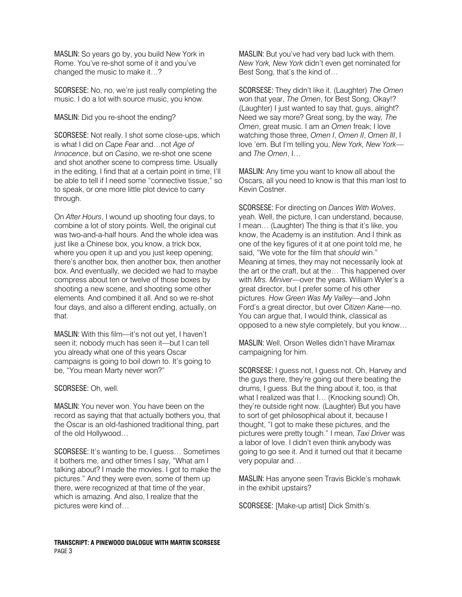MASLIN: So years go by, you build New York in Rome. You've re-shot some of it and you've changed the music to make it…?

SCORSESE: No, no, we're just really completing the music. I do a lot with source music, you know.

MASLIN: Did you re-shoot the ending?

SCORSESE: Not really. I shot some close-ups, which is what I did on *Cape Fear* and…not *Age of Innocence*, but on *Casino*, we re-shot one scene and shot another scene to compress time. Usually in the editing, I find that at a certain point in time, I'll be able to tell if I need some "connective tissue," so to speak, or one more little plot device to carry through.

On *After Hours*, I wound up shooting four days, to combine a lot of story points. Well, the original cut was two-and-a-half hours. And the whole idea was just like a Chinese box, you know, a trick box, where you open it up and you just keep opening; there's another box, then another box, then another box. And eventually, we decided we had to maybe compress about ten or twelve of those boxes by shooting a new scene, and shooting some other elements. And combined it all. And so we re-shot four days, and also a different ending, actually, on that.

MASLIN: With this film—it's not out yet, I haven't seen it; nobody much has seen it—but I can tell you already what one of this years Oscar campaigns is going to boil down to. It's going to be, "You mean Marty never won?"

SCORSESE: Oh, well.

MASLIN: You never won. You have been on the record as saying that that actually bothers you, that the Oscar is an old-fashioned traditional thing, part of the old Hollywood…

SCORSESE: It's wanting to be, I guess… Sometimes it bothers me, and other times I say, "What am I talking about? I made the movies. I got to make the pictures." And they were even, some of them up there, were recognized at that time of the year, which is amazing. And also, I realize that the pictures were kind of…

MASLIN: But you've had very bad luck with them. *New York, New York* didn't even get nominated for Best Song, that's the kind of…

SCORSESE: They didn't like it. (Laughter) *The Omen* won that year, *The Omen*, for Best Song, Okay!? (Laughter) I just wanted to say that, guys, alright? Need we say more? Great song, by the way*, The Omen*, great music. I am an *Omen* freak; I love watching those three, *Omen I*, *Omen II*, *Omen III*, I love 'em. But I'm telling you, *New York, New York* and *The Omen*, I…

MASLIN: Any time you want to know all about the Oscars, all you need to know is that this man lost to Kevin Costner.

SCORSESE: For directing on *Dances With Wolves*, yeah. Well, the picture, I can understand, because, I mean… (Laughter) The thing is that it's like, you know, the Academy is an institution. And I think as one of the key figures of it at one point told me, he said, "We vote for the film that *should* win." Meaning at times, they may not necessarily look at the art or the craft, but at the… This happened over with *Mrs. Miniver*—over the years. William Wyler's a great director, but I prefer some of his other pictures. *How Green Was My Valley*—and John Ford's a great director, but over *Citizen Kane*—no. You can argue that, I would think, classical as opposed to a new style completely, but you know…

MASLIN: Well, Orson Welles didn't have Miramax campaigning for him.

SCORSESE: I guess not, I guess not. Oh, Harvey and the guys there, they're going out there beating the drums, I guess. But the thing about it, too, is that what I realized was that I… (Knocking sound) Oh, they're outside right now. (Laughter) But you have to sort of get philosophical about it, because I thought, "I got to make these pictures, and the pictures were pretty tough." I mean, *Taxi Driver* was a labor of love. I didn't even think anybody was going to go see it. And it turned out that it became very popular and…

MASLIN: Has anyone seen Travis Bickle's mohawk in the exhibit upstairs?

SCORSESE: [Make-up artist] Dick Smith's.

**TRANSCRIPT: A PINEWOOD DIALOGUE WITH MARTIN SCORSESE**  PAGE 3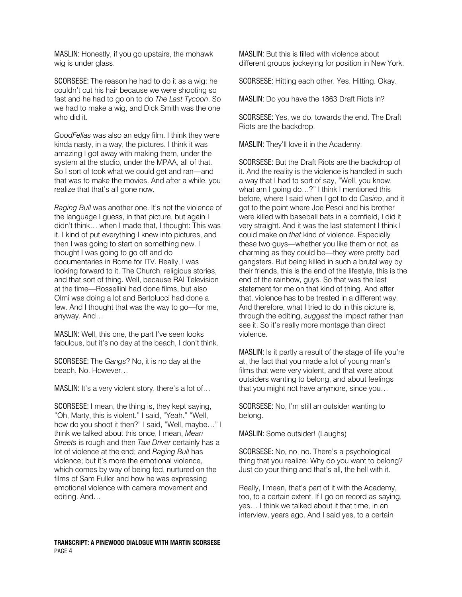MASLIN: Honestly, if you go upstairs, the mohawk wig is under glass.

SCORSESE: The reason he had to do it as a wig: he couldn't cut his hair because we were shooting so fast and he had to go on to do *The Last Tycoon*. So we had to make a wig, and Dick Smith was the one who did it.

*GoodFellas* was also an edgy film. I think they were kinda nasty, in a way, the pictures. I think it was amazing I got away with making them, under the system at the studio, under the MPAA, all of that. So I sort of took what we could get and ran—and that was to make the movies. And after a while, you realize that that's all gone now.

*Raging Bull* was another one. It's not the violence of the language I guess, in that picture, but again I didn't think… when I made that, I thought: This was it. I kind of put everything I knew into pictures, and then I was going to start on something new. I thought I was going to go off and do documentaries in Rome for ITV. Really, I was looking forward to it. The Church, religious stories, and that sort of thing. Well, because RAI Television at the time—Rossellini had done films, but also Olmi was doing a lot and Bertolucci had done a few. And I thought that was the way to go—for me, anyway. And…

MASLIN: Well, this one, the part I've seen looks fabulous, but it's no day at the beach, I don't think.

SCORSESE: The *Gangs*? No, it is no day at the beach. No. However…

MASLIN: It's a very violent story, there's a lot of…

SCORSESE: I mean, the thing is, they kept saying, "Oh, Marty, this is violent." I said, "Yeah." "Well, how do you shoot it then?" I said, "Well, maybe…" I think we talked about this once, I mean, *Mean Streets* is rough and then *Taxi Driver* certainly has a lot of violence at the end; and *Raging Bull* has violence; but it's more the emotional violence, which comes by way of being fed, nurtured on the films of Sam Fuller and how he was expressing emotional violence with camera movement and editing. And…

MASLIN: But this is filled with violence about different groups jockeying for position in New York.

SCORSESE: Hitting each other. Yes. Hitting. Okay.

MASLIN: Do you have the 1863 Draft Riots in?

SCORSESE: Yes, we do, towards the end. The Draft Riots are the backdrop.

MASLIN: They'll love it in the Academy.

SCORSESE: But the Draft Riots are the backdrop of it. And the reality is the violence is handled in such a way that I had to sort of say, "Well, you know, what am I going do…?" I think I mentioned this before, where I said when I got to do *Casino*, and it got to the point where Joe Pesci and his brother were killed with baseball bats in a cornfield, I did it very straight. And it was the last statement I think I could make on *that* kind of violence. Especially these two guys—whether you like them or not, as charming as they could be—they were pretty bad gangsters. But being killed in such a brutal way by their friends, this is the end of the lifestyle, this is the end of the rainbow, guys. So that was the last statement for me on that kind of thing. And after that, violence has to be treated in a different way. And therefore, what I tried to do in this picture is, through the editing, *suggest* the impact rather than see it. So it's really more montage than direct violence.

MASLIN: Is it partly a result of the stage of life you're at, the fact that you made a lot of young man's films that were very violent, and that were about outsiders wanting to belong, and about feelings that you might not have anymore, since you…

SCORSESE: No, I'm still an outsider wanting to belong.

MASLIN: Some outsider! (Laughs)

SCORSESE: No, no, no. There's a psychological thing that you realize: Why do you want to belong? Just do your thing and that's all, the hell with it.

Really, I mean, that's part of it with the Academy, too, to a certain extent. If I go on record as saying, yes… I think we talked about it that time, in an interview, years ago. And I said yes, to a certain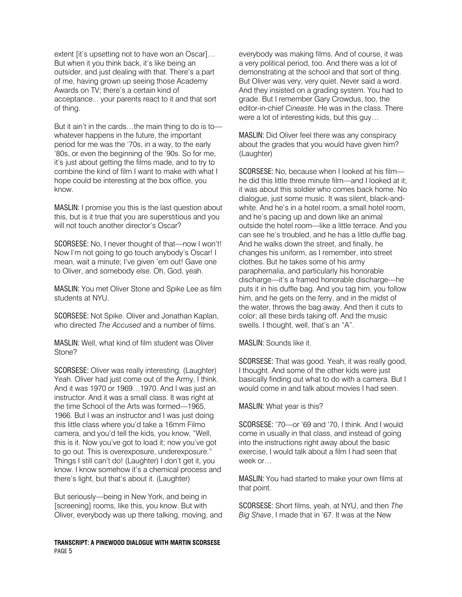extent [it's upsetting not to have won an Oscar]… But when it you think back, it's like being an outsider, and just dealing with that. There's a part of me, having grown up seeing those Academy Awards on TV; there's a certain kind of acceptance... your parents react to it and that sort of thing.

But it ain't in the cards…the main thing to do is to whatever happens in the future, the important period for me was the '70s, in a way, to the early '80s, or even the beginning of the '90s. So for me, it's just about getting the films made, and to try to combine the kind of film I want to make with what I hope could be interesting at the box office, you know.

MASLIN: I promise you this is the last question about this, but is it true that you are superstitious and you will not touch another director's Oscar?

SCORSESE: No, I never thought of that—now I won't! Now I'm not going to go touch anybody's Oscar! I mean, wait a minute; I've given 'em out! Gave one to Oliver, and somebody else. Oh, God, yeah.

MASLIN: You met Oliver Stone and Spike Lee as film students at NYU.

SCORSESE: Not Spike. Oliver and Jonathan Kaplan, who directed *The Accused* and a number of films.

MASLIN: Well, what kind of film student was Oliver Stone?

SCORSESE: Oliver was really interesting. (Laughter) Yeah. Oliver had just come out of the Army, I think. And it was 1970 or 1969…1970. And I was just an instructor. And it was a small class. It was right at the time School of the Arts was formed—1965, 1966. But I was an instructor and I was just doing this little class where you'd take a 16mm Filmo camera, and you'd tell the kids, you know, "Well, this is it. Now you've got to load it; now you've got to go out. This is overexposure, underexposure." Things I still can't do! (Laughter) I don't get it, you know. I know somehow it's a chemical process and there's light, but that's about it. (Laughter)

But seriously—being in New York, and being in [screening] rooms, like this, you know. But with Oliver, everybody was up there talking, moving, and

**TRANSCRIPT: A PINEWOOD DIALOGUE WITH MARTIN SCORSESE**  PAGE 5

everybody was making films. And of course, it was a very political period, too. And there was a lot of demonstrating at the school and that sort of thing. But Oliver was very, very quiet. Never said a word. And they insisted on a grading system. You had to grade. But I remember Gary Crowdus, too, the editor-in-chief *Cineaste.* He was in the class. There were a lot of interesting kids, but this guy…

MASLIN: Did Oliver feel there was any conspiracy about the grades that you would have given him? (Laughter)

SCORSESE: No, because when I looked at his film he did this little three minute film—and I looked at it; it was about this soldier who comes back home. No dialogue, just some music. It was silent, black-andwhite. And he's in a hotel room, a small hotel room, and he's pacing up and down like an animal outside the hotel room—like a little terrace. And you can see he's troubled, and he has a little duffle bag. And he walks down the street, and finally, he changes his uniform, as I remember, into street clothes. But he takes some of his army paraphernalia, and particularly his honorable discharge—it's a framed honorable discharge—he puts it in his duffle bag. And you tag him, you follow him, and he gets on the ferry, and in the midst of the water, throws the bag away. And then it cuts to color; all these birds taking off. And the music swells. I thought, well, that's an "A".

MASLIN: Sounds like it.

SCORSESE: That was good. Yeah, it was really good, I thought. And some of the other kids were just basically finding out what to do with a camera. But I would come in and talk about movies I had seen.

MASLIN: What year is this?

SCORSESE: '70—or '69 and '70, I think. And I would come in usually in that class, and instead of going into the instructions right away about the basic exercise, I would talk about a film I had seen that week or…

MASLIN: You had started to make your own films at that point.

SCORSESE: Short films, yeah, at NYU, and then *The Big Shave*, I made that in '67. It was at the New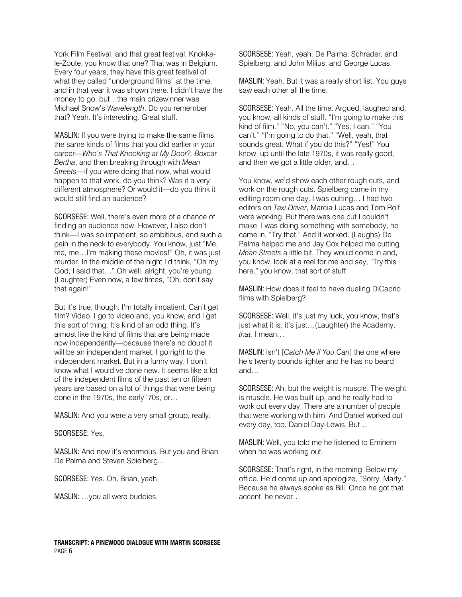York Film Festival, and that great festival, Knokkele-Zoute, you know that one? That was in Belgium. Every four years, they have this great festival of what they called "underground films" at the time, and in that year it was shown there. I didn't have the money to go, but…the main prizewinner was Michael Snow's *Wavelength*. Do you remember that? Yeah. It's interesting. Great stuff.

MASLIN: If you were trying to make the same films, the same kinds of films that you did earlier in your career—*Who's That Knocking at My Door?, Boxcar Bertha*, and then breaking through with *Mean Streets*—if you were doing that now, what would happen to that work, do you think? Was it a very different atmosphere? Or would it—do you think it would still find an audience?

SCORSESE: Well, there's even more of a chance of finding an audience now. However, I also don't think—I was so impatient, so ambitious, and such a pain in the neck to everybody. You know, just "Me, me, me…I'm making these movies!" Oh, it was just murder. In the middle of the night I'd think, "Oh my God, I said that…" Oh well, alright, you're young. (Laughter) Even now, a few times, "Oh, don't say that again!"

But it's true, though. I'm totally impatient. Can't get film? Video. I go to video and, you know, and I get this sort of thing. It's kind of an odd thing. It's almost like the kind of films that are being made now independently—because there's no doubt it will be an independent market. I go right to the independent market. But in a funny way, I don't know what I would've done new. It seems like a lot of the independent films of the past ten or fifteen years are based on a lot of things that were being done in the 1970s, the early '70s, or…

MASLIN: And you were a very small group, really.

### SCORSESE: Yes.

MASLIN: And now it's enormous. But you and Brian De Palma and Steven Spielberg…

SCORSESE: Yes. Oh, Brian, yeah.

MASLIN: …you all were buddies.

SCORSESE: Yeah, yeah. De Palma, Schrader, and Spielberg, and John Milius, and George Lucas.

MASLIN: Yeah. But it was a really short list. You guys saw each other all the time.

SCORSESE: Yeah. All the time. Argued, laughed and, you know, all kinds of stuff. "I'm going to make this kind of film." "No, you can't." "Yes, I can." "You can't." "I'm going to do that." "Well, yeah, that sounds great. What if you do this?" "Yes!" You know, up until the late 1970s, it was really good, and then we got a little older, and…

You know, we'd show each other rough cuts, and work on the rough cuts. Spielberg came in my editing room one day. I was cutting… I had two editors on *Taxi Driver*, Marcia Lucas and Tom Rolf were working. But there was one cut I couldn't make. I was doing something with somebody, he came in, "Try that." And it worked. (Laughs) De Palma helped me and Jay Cox helped me cutting *Mean Streets* a little bit. They would come in and, you know, look at a reel for me and say, "Try this here," you know, that sort of stuff.

MASLIN: How does it feel to have dueling DiCaprio films with Spielberg?

SCORSESE: Well, it's just my luck, you know, that's just what it is, it's just…(Laughter) the Academy, *that*, I mean…

MASLIN: Isn't [*Catch Me if You Can*] the one where he's twenty pounds lighter and he has no beard and…

SCORSESE: Ah, but the weight is muscle. The weight is muscle. He was built up, and he really had to work out every day. There are a number of people that were working with him. And Daniel worked out every day, too, Daniel Day-Lewis. But…

MASLIN: Well, you told me he listened to Eminem when he was working out.

SCORSESE: That's right, in the morning. Below my office. He'd come up and apologize, "Sorry, Marty." Because he always spoke as Bill. Once he got that accent, he never…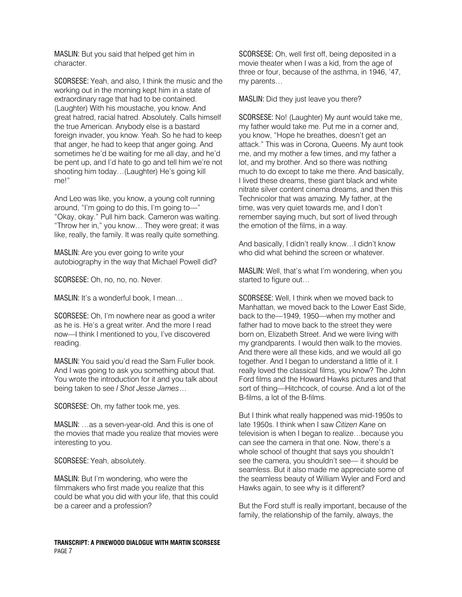MASLIN: But you said that helped get him in character.

SCORSESE: Yeah, and also, I think the music and the working out in the morning kept him in a state of extraordinary rage that had to be contained. (Laughter) With his moustache, you know. And great hatred, racial hatred. Absolutely. Calls himself the true American. Anybody else is a bastard foreign invader, you know. Yeah. So he had to keep that anger, he had to keep that anger going. And sometimes he'd be waiting for me all day, and he'd be pent up, and I'd hate to go and tell him we're not shooting him today…(Laughter) He's going kill me!"

And Leo was like, you know, a young colt running around, "I'm going to do this, I'm going to—" "Okay, okay." Pull him back. Cameron was waiting. "Throw her in," you know… They were great; it was like, really, the family. It was really quite something.

MASLIN: Are you ever going to write your autobiography in the way that Michael Powell did?

SCORSESE: Oh, no, no, no. Never.

MASLIN: It's a wonderful book, I mean…

SCORSESE: Oh, I'm nowhere near as good a writer as he is. He's a great writer. And the more I read now—I think I mentioned to you, I've discovered reading.

MASLIN: You said you'd read the Sam Fuller book. And I was going to ask you something about that. You wrote the introduction for it and you talk about being taken to see *I Shot Jesse James*…

SCORSESE: Oh, my father took me, yes.

MASLIN: …as a seven-year-old. And this is one of the movies that made you realize that movies were interesting to you.

SCORSESE: Yeah, absolutely.

MASLIN: But I'm wondering, who were the filmmakers who first made you realize that this could be what you did with your life, that this could be a career and a profession?

**TRANSCRIPT: A PINEWOOD DIALOGUE WITH MARTIN SCORSESE**  PAGE 7

SCORSESE: Oh, well first off, being deposited in a movie theater when I was a kid, from the age of three or four, because of the asthma, in 1946, '47, my parents…

MASLIN: Did they just leave you there?

SCORSESE: No! (Laughter) My aunt would take me, my father would take me. Put me in a corner and, you know, "Hope he breathes, doesn't get an attack." This was in Corona, Queens. My aunt took me, and my mother a few times, and my father a lot, and my brother. And so there was nothing much to do except to take me there. And basically, I lived these dreams, these giant black and white nitrate silver content cinema dreams, and then this Technicolor that was amazing. My father, at the time, was very quiet towards me, and I don't remember saying much, but sort of lived through the emotion of the films, in a way.

And basically, I didn't really know…I didn't know who did what behind the screen or whatever.

MASLIN: Well, that's what I'm wondering, when you started to figure out…

SCORSESE: Well, I think when we moved back to Manhattan, we moved back to the Lower East Side, back to the—1949, 1950—when my mother and father had to move back to the street they were born on, Elizabeth Street. And we were living with my grandparents. I would then walk to the movies. And there were all these kids, and we would all go together. And I began to understand a little of it. I really loved the classical films, you know? The John Ford films and the Howard Hawks pictures and that sort of thing—Hitchcock, of course. And a lot of the B-films, a lot of the B-films.

But I think what really happened was mid-1950s to late 1950s. I think when I saw *Citizen Kane* on television is when I began to realize…because you can *see* the camera in that one. Now, there's a whole school of thought that says you shouldn't see the camera, you shouldn't see— it should be seamless. But it also made me appreciate some of the seamless beauty of William Wyler and Ford and Hawks again, to see why is it different?

But the Ford stuff is really important, because of the family, the relationship of the family, always, the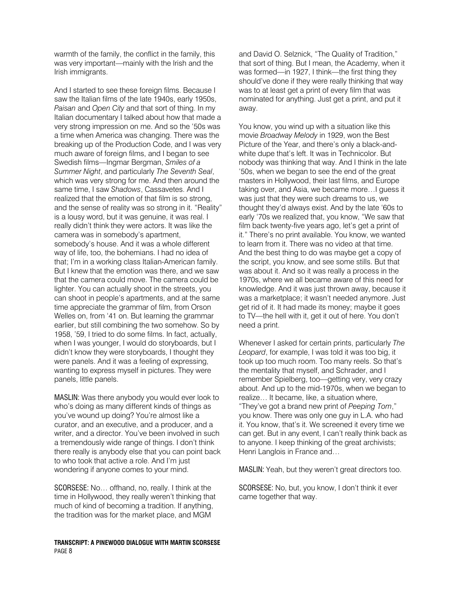warmth of the family, the conflict in the family, this was very important—mainly with the Irish and the Irish immigrants.

And I started to see these foreign films. Because I saw the Italian films of the late 1940s, early 1950s, *Paisan* and *Open City* and that sort of thing. In my Italian documentary I talked about how that made a very strong impression on me. And so the '50s was a time when America was changing. There was the breaking up of the Production Code, and I was very much aware of foreign films, and I began to see Swedish films—Ingmar Bergman, *Smiles of a Summer Night*, and particularly *The Seventh Seal*, which was very strong for me. And then around the same time, I saw *Shadows*, Cassavetes. And I realized that the emotion of that film is so strong, and the sense of reality was so strong in it. "Reality" is a lousy word, but it was genuine, it was real. I really didn't think they were actors. It was like the camera was in somebody's apartment, somebody's house. And it was a whole different way of life, too, the bohemians. I had no idea of that; I'm in a working class Italian-American family. But I knew that the emotion was there, and we saw that the camera could move. The camera could be lighter. You can actually shoot in the streets, you can shoot in people's apartments, and at the same time appreciate the grammar of film, from Orson Welles on, from '41 on. But learning the grammar earlier, but still combining the two somehow. So by 1958, '59, I tried to do some films. In fact, actually, when I was younger, I would do storyboards, but I didn't know they were storyboards, I thought they were panels. And it was a feeling of expressing, wanting to express myself in pictures. They were panels, little panels.

MASLIN: Was there anybody you would ever look to who's doing as many different kinds of things as you've wound up doing? You're almost like a curator, and an executive, and a producer, and a writer, and a director. You've been involved in such a tremendously wide range of things. I don't think there really is anybody else that you can point back to who took that active a role. And I'm just wondering if anyone comes to your mind.

SCORSESE: No… offhand, no, really. I think at the time in Hollywood, they really weren't thinking that much of kind of becoming a tradition. If anything, the tradition was for the market place, and MGM

**TRANSCRIPT: A PINEWOOD DIALOGUE WITH MARTIN SCORSESE**  PAGE 8

and David O. Selznick, "The Quality of Tradition," that sort of thing. But I mean, the Academy, when it was formed—in 1927, I think—the first thing they should've done if they were really thinking that way was to at least get a print of every film that was nominated for anything. Just get a print, and put it away.

You know, you wind up with a situation like this movie *Broadway Melody* in 1929, won the Best Picture of the Year, and there's only a black-andwhite dupe that's left. It was in Technicolor. But nobody was thinking that way. And I think in the late '50s, when we began to see the end of the great masters in Hollywood, their last films, and Europe taking over, and Asia, we became more…I guess it was just that they were such dreams to us, we thought they'd always exist. And by the late '60s to early '70s we realized that, you know, "We saw that film back twenty-five years ago, let's get a print of it." There's no print available. You know, we wanted to learn from it. There was no video at that time. And the best thing to do was maybe get a copy of the script, you know, and see some stills. But that was about it. And so it was really a process in the 1970s, where we all became aware of this need for knowledge. And it was just thrown away, because it was a marketplace; it wasn't needed anymore. Just get rid of it. It had made its money; maybe it goes to TV—the hell with it, get it out of here. You don't need a print.

Whenever I asked for certain prints, particularly *The Leopard*, for example, I was told it was too big, it took up too much room. Too many reels. So that's the mentality that myself, and Schrader, and I remember Spielberg, too—getting very, very crazy about. And up to the mid-1970s, when we began to realize… It became, like, a situation where, "They've got a brand new print of *Peeping Tom*," you know. There was only one guy in L.A. who had it. You know, that's it. We screened it every time we can get. But in any event, I can't really think back as to anyone. I keep thinking of the great archivists; Henri Langlois in France and…

MASLIN: Yeah, but they weren't great directors too.

SCORSESE: No, but, you know, I don't think it ever came together that way.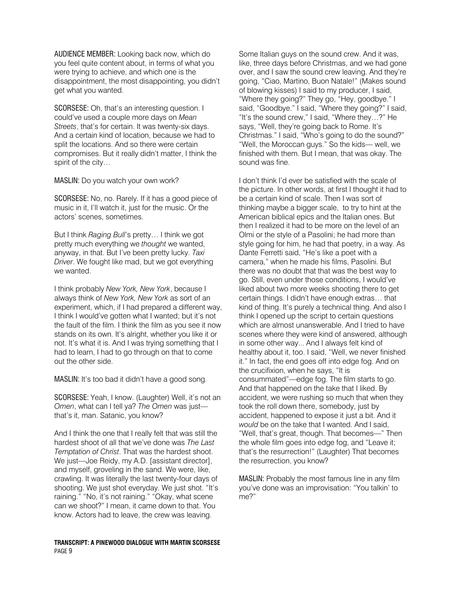AUDIENCE MEMBER: Looking back now, which do you feel quite content about, in terms of what you were trying to achieve, and which one is the disappointment, the most disappointing, you didn't get what you wanted.

SCORSESE: Oh, that's an interesting question. I could've used a couple more days on *Mean Streets*, that's for certain. It was twenty-six days. And a certain kind of location, because we had to split the locations. And so there were certain compromises. But it really didn't matter, I think the spirit of the city…

MASLIN: Do you watch your own work?

SCORSESE: No, no. Rarely. If it has a good piece of music in it, I'll watch it, just for the music. Or the actors' scenes, sometimes.

But I think *Raging Bull*'s pretty… I think we got pretty much everything we *thought* we wanted, anyway, in that. But I've been pretty lucky. *Taxi Driver*. We fought like mad, but we got everything we wanted.

I think probably *New York, New York*, because I always think of *New York, New York* as sort of an experiment, which, if I had prepared a different way, I think I would've gotten what I wanted; but it's not the fault of the film. I think the film as you see it now stands on its own. It's alright, whether you like it or not. It's what it is. And I was trying something that I had to learn, I had to go through on that to come out the other side.

MASLIN: It's too bad it didn't have a good song.

SCORSESE: Yeah, I know. (Laughter) Well, it's not an *Omen*, what can I tell ya? *The Omen* was just that's it, man. Satanic, you know?

And I think the one that I really felt that was still the hardest shoot of all that we've done was *The Last Temptation of Christ*. That was the hardest shoot. We just—Joe Reidy, my A.D. [assistant director], and myself, groveling in the sand. We were, like, crawling. It was literally the last twenty-four days of shooting. We just shot everyday. We just shot. "It's raining." "No, it's not raining." "Okay, what scene can we shoot?" I mean, it came down to that. You know. Actors had to leave, the crew was leaving.

#### **TRANSCRIPT: A PINEWOOD DIALOGUE WITH MARTIN SCORSESE**  PAGE 9

Some Italian guys on the sound crew. And it was, like, three days before Christmas, and we had gone over, and I saw the sound crew leaving. And they're going, "Ciao, Martino, Buon Natale!" (Makes sound of blowing kisses) I said to my producer, I said, "Where they going?" They go, "Hey, goodbye." I said, "Goodbye." I said, "Where they going?" I said, "It's the sound crew," I said, "Where they…?" He says, "Well, they're going back to Rome. It's Christmas." I said, "Who's going to do the sound?" "Well, the Moroccan guys." So the kids— well, we finished with them. But I mean, that was okay. The sound was fine.

I don't think I'd ever be satisfied with the scale of the picture. In other words, at first I thought it had to be a certain kind of scale. Then I was sort of thinking maybe a bigger scale, to try to hint at the American biblical epics and the Italian ones. But then I realized it had to be more on the level of an Olmi or the style of a Pasolini; he had more than style going for him, he had that poetry, in a way. As Dante Ferretti said, "He's like a poet with a camera," when he made his films, Pasolini. But there was no doubt that that was the best way to go. Still, even under those conditions, I would've liked about two more weeks shooting there to get certain things. I didn't have enough extras… that kind of thing. It's purely a technical thing. And also I think I opened up the script to certain questions which are almost unanswerable. And I tried to have scenes where they were kind of answered, although in some other way... And I always felt kind of healthy about it, too. I said, "Well, we never finished it." In fact, the end goes off into edge fog. And on the crucifixion, when he says, "It is consummated"—edge fog. The film starts to go. And that happened on the take that I liked. By accident, we were rushing so much that when they took the roll down there, somebody, just by accident, happened to expose it just a bit. And it *would* be on the take that I wanted. And I said, "Well, that's great, though. That becomes—" Then the whole film goes into edge fog, and "Leave it; that's the resurrection!" (Laughter) That becomes the resurrection, you know?

MASLIN: Probably the most famous line in any film you've done was an improvisation: "You talkin' to me?"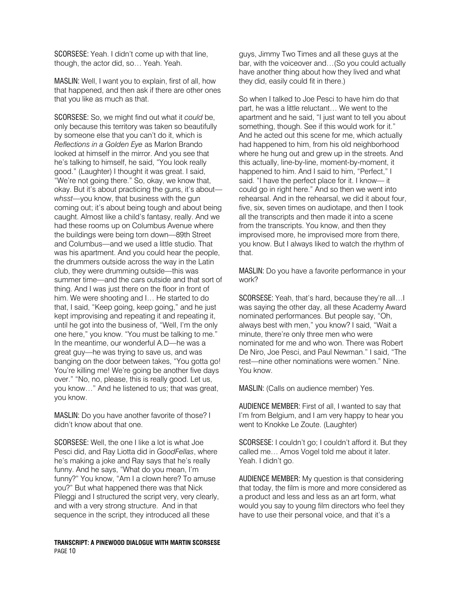SCORSESE: Yeah. I didn't come up with that line, though, the actor did, so… Yeah. Yeah.

MASLIN: Well, I want you to explain, first of all, how that happened, and then ask if there are other ones that you like as much as that.

SCORSESE: So, we might find out what it *could* be, only because this territory was taken so beautifully by someone else that you can't do it, which is *Reflections in a Golden Eye* as Marlon Brando looked at himself in the mirror. And you see that he's talking to himself, he said, "You look really good." (Laughter) I thought it was great. I said, "We're not going there." So, okay, we know that, okay. But it's about practicing the guns, it's about *whsst*—you know, that business with the gun coming out; it's about being tough and about being caught. Almost like a child's fantasy, really. And we had these rooms up on Columbus Avenue where the buildings were being torn down—89th Street and Columbus—and we used a little studio. That was his apartment. And you could hear the people, the drummers outside across the way in the Latin club, they were drumming outside—this was summer time—and the cars outside and that sort of thing. And I was just there on the floor in front of him. We were shooting and I… He started to do that, I said, "Keep going, keep going," and he just kept improvising and repeating it and repeating it, until he got into the business of, "Well, I'm the only one here," you know. "You must be talking to me." In the meantime, our wonderful A.D—he was a great guy—he was trying to save us, and was banging on the door between takes, "You gotta go! You're killing me! We're going be another five days over." "No, no, please, this is really good. Let us, you know…" And he listened to us; that was great, you know.

MASLIN: Do you have another favorite of those? I didn't know about that one.

SCORSESE: Well, the one I like a lot is what Joe Pesci did, and Ray Liotta did in *GoodFellas*, where he's making a joke and Ray says that he's really funny. And he says, "What do you mean, I'm funny?" You know, "Am I a clown here? To amuse you?" But what happened there was that Nick Pileggi and I structured the script very, very clearly, and with a very strong structure. And in that sequence in the script, they introduced all these

**TRANSCRIPT: A PINEWOOD DIALOGUE WITH MARTIN SCORSESE**  PAGE 10

guys, Jimmy Two Times and all these guys at the bar, with the voiceover and…(So you could actually have another thing about how they lived and what they did, easily could fit in there.)

So when I talked to Joe Pesci to have him do that part, he was a little reluctant… We went to the apartment and he said, "I just want to tell you about something, though. See if this would work for it." And he acted out this scene for me, which actually had happened to him, from his old neighborhood where he hung out and grew up in the streets. And this actually, line-by-line, moment-by-moment, it happened to him. And I said to him, "Perfect," I said. "I have the perfect place for it. I know— it could go in right here." And so then we went into rehearsal. And in the rehearsal, we did it about four, five, six, seven times on audiotape, and then I took all the transcripts and then made it into a scene from the transcripts. You know, and then they improvised more, he improvised more from there, you know. But I always liked to watch the rhythm of that.

MASLIN: Do you have a favorite performance in your work?

SCORSESE: Yeah, that's hard, because they're all…I was saying the other day, all these Academy Award nominated performances. But people say, "Oh, always best with men," you know? I said, "Wait a minute, there're only three men who were nominated for me and who won. There was Robert De Niro, Joe Pesci, and Paul Newman." I said, "The rest—nine other nominations were women." Nine. You know.

MASLIN: (Calls on audience member) Yes.

AUDIENCE MEMBER: First of all, I wanted to say that I'm from Belgium, and I am very happy to hear you went to Knokke Le Zoute. (Laughter)

SCORSESE: I couldn't go; I couldn't afford it. But they called me… Amos Vogel told me about it later. Yeah. I didn't go.

AUDIENCE MEMBER: My question is that considering that today, the film is more and more considered as a product and less and less as an art form, what would you say to young film directors who feel they have to use their personal voice, and that it's a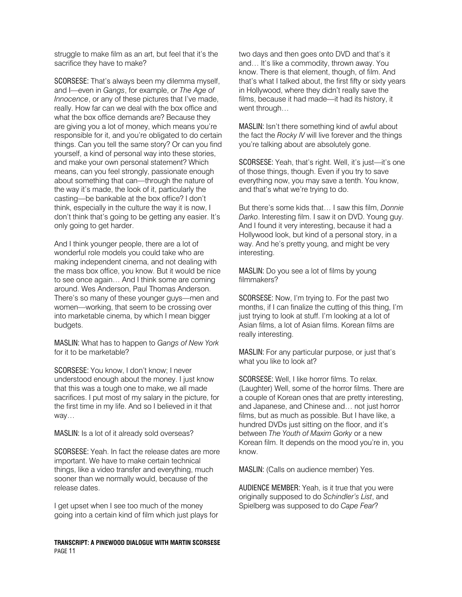struggle to make film as an art, but feel that it's the sacrifice they have to make?

SCORSESE: That's always been my dilemma myself, and I—even in *Gangs*, for example, or *The Age of Innocence*, or any of these pictures that I've made, really. How far can we deal with the box office and what the box office demands are? Because they are giving you a lot of money, which means you're responsible for it, and you're obligated to do certain things. Can you tell the same story? Or can you find yourself, a kind of personal way into these stories, and make your own personal statement? Which means, can you feel strongly, passionate enough about something that can—through the nature of the way it's made, the look of it, particularly the casting—be bankable at the box office? I don't think, especially in the culture the way it is now, I don't think that's going to be getting any easier. It's only going to get harder.

And I think younger people, there are a lot of wonderful role models you could take who are making independent cinema, and not dealing with the mass box office, you know. But it would be nice to see once again… And I think some are coming around. Wes Anderson, Paul Thomas Anderson. There's so many of these younger guys—men and women—working, that seem to be crossing over into marketable cinema, by which I mean bigger budgets.

MASLIN: What has to happen to *Gangs of New York* for it to be marketable?

SCORSESE: You know, I don't know; I never understood enough about the money. I just know that this was a tough one to make, we all made sacrifices. I put most of my salary in the picture, for the first time in my life. And so I believed in it that way…

MASLIN: Is a lot of it already sold overseas?

SCORSESE: Yeah. In fact the release dates are more important. We have to make certain technical things, like a video transfer and everything, much sooner than we normally would, because of the release dates.

I get upset when I see too much of the money going into a certain kind of film which just plays for

**TRANSCRIPT: A PINEWOOD DIALOGUE WITH MARTIN SCORSESE**  PAGE 11

two days and then goes onto DVD and that's it and… It's like a commodity, thrown away. You know. There is that element, though, of film. And that's what I talked about, the first fifty or sixty years in Hollywood, where they didn't really save the films, because it had made—it had its history, it went through…

MASLIN: Isn't there something kind of awful about the fact the *Rocky IV* will live forever and the things you're talking about are absolutely gone.

SCORSESE: Yeah, that's right. Well, it's just—it's one of those things, though. Even if you try to save everything now, you may save a tenth. You know, and that's what we're trying to do.

But there's some kids that… I saw this film, *Donnie Darko*. Interesting film. I saw it on DVD. Young guy. And I found it very interesting, because it had a Hollywood look, but kind of a personal story, in a way. And he's pretty young, and might be very interesting.

MASLIN: Do you see a lot of films by young filmmakers?

SCORSESE: Now, I'm trying to. For the past two months, if I can finalize the cutting of this thing, I'm just trying to look at stuff. I'm looking at a lot of Asian films, a lot of Asian films. Korean films are really interesting.

MASLIN: For any particular purpose, or just that's what you like to look at?

SCORSESE: Well, I like horror films. To relax. (Laughter) Well, some of the horror films. There are a couple of Korean ones that are pretty interesting, and Japanese, and Chinese and… not just horror films, but as much as possible. But I have like, a hundred DVDs just sitting on the floor, and it's between *The Youth of Maxim Gorky* or a new Korean film. It depends on the mood you're in, you know.

MASLIN: (Calls on audience member) Yes.

AUDIENCE MEMBER: Yeah, is it true that you were originally supposed to do *Schindler's List*, and Spielberg was supposed to do *Cape Fear*?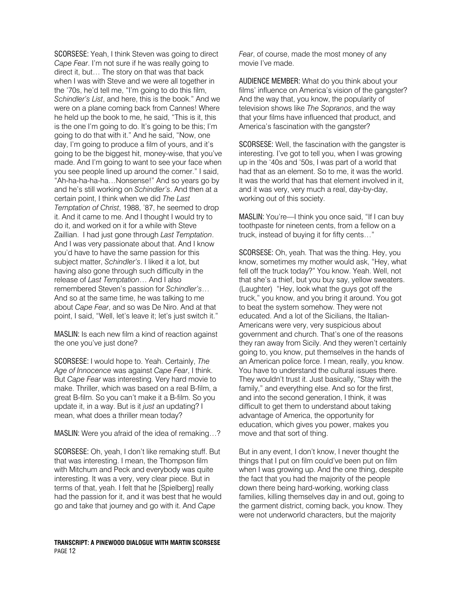SCORSESE: Yeah, I think Steven was going to direct *Cape Fear*. I'm not sure if he was really going to direct it, but… The story on that was that back when I was with Steve and we were all together in the '70s, he'd tell me, "I'm going to do this film, *Schindler's List*, and here, this is the book." And we were on a plane coming back from Cannes! Where he held up the book to me, he said, "This is it, this is the one I'm going to do. It's going to be this; I'm going to do that with it." And he said, "Now, one day, I'm going to produce a film of yours, and it's going to be the biggest hit, money-wise, that you've made. And I'm going to want to see your face when you see people lined up around the corner." I said, "Ah-ha-ha-ha-ha…Nonsense!" And so years go by and he's still working on *Schindler's*. And then at a certain point, I think when we did *The Last Temptation of Christ*, 1988, '87, he seemed to drop it. And it came to me. And I thought I would try to do it, and worked on it for a while with Steve Zaillian. I had just gone through *Last Temptation*. And I was very passionate about that. And I know you'd have to have the same passion for this subject matter, *Schindler's*. I liked it a lot, but having also gone through such difficulty in the release of *Last Temptation*… And I also remembered Steven's passion for *Schindler's*… And so at the same time, he was talking to me about *Cape Fear*, and so was De Niro. And at that point, I said, "Well, let's leave it; let's just switch it."

MASLIN: Is each new film a kind of reaction against the one you've just done?

SCORSESE: I would hope to. Yeah. Certainly, *The Age of Innocence* was against *Cape Fear*, I think. But *Cape Fear* was interesting. Very hard movie to make. Thriller, which was based on a real B-film, a great B-film. So you can't make it a B-film. So you update it, in a way. But is it *just* an updating? I mean, what does a thriller mean today?

MASLIN: Were you afraid of the idea of remaking…?

SCORSESE: Oh, yeah, I don't like remaking stuff. But that was interesting. I mean, the Thompson film with Mitchum and Peck and everybody was quite interesting. It was a very, very clear piece. But in terms of that, yeah. I felt that he [Spielberg] really had the passion for it, and it was best that he would go and take that journey and go with it. And *Cape* 

*Fear*, of course, made the most money of any movie I've made.

AUDIENCE MEMBER: What do you think about your films' influence on America's vision of the gangster? And the way that, you know, the popularity of television shows like *The Sopranos*, and the way that your films have influenced that product, and America's fascination with the gangster?

SCORSESE: Well, the fascination with the gangster is interesting. I've got to tell you, when I was growing up in the '40s and '50s, I was part of a world that had that as an element. So to me, it was the world. It was the world that has that element involved in it, and it was very, very much a real, day-by-day, working out of this society.

MASLIN: You're—I think you once said, "If I can buy toothpaste for nineteen cents, from a fellow on a truck, instead of buying it for fifty cents…"

SCORSESE: Oh, yeah. That was the thing. Hey, you know, sometimes my mother would ask, "Hey, what fell off the truck today?" You know. Yeah. Well, not that she's a thief, but you buy say, yellow sweaters. (Laughter) "Hey, look what the guys got off the truck," you know, and you bring it around. You got to beat the system somehow. They were not educated. And a lot of the Sicilians, the Italian-Americans were very, very suspicious about government and church. That's one of the reasons they ran away from Sicily. And they weren't certainly going to, you know, put themselves in the hands of an American police force. I mean, really, you know. You have to understand the cultural issues there. They wouldn't trust it. Just basically, "Stay with the family," and everything else. And so for the first, and into the second generation, I think, it was difficult to get them to understand about taking advantage of America, the opportunity for education, which gives you power, makes you move and that sort of thing.

But in any event, I don't know, I never thought the things that I put on film could've been put on film when I was growing up. And the one thing, despite the fact that you had the majority of the people down there being hard-working, working class families, killing themselves day in and out, going to the garment district, coming back, you know. They were not underworld characters, but the majority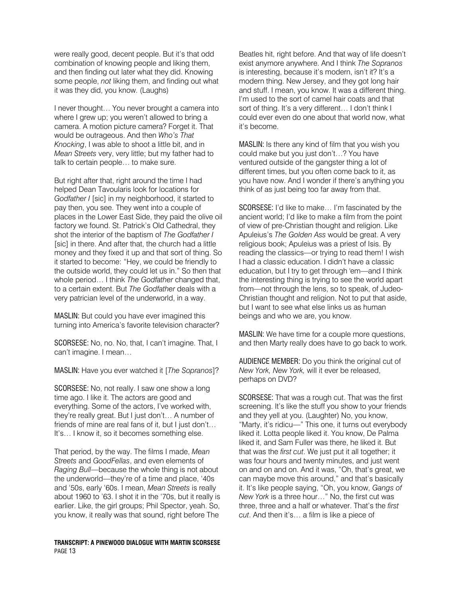were really good, decent people. But it's that odd combination of knowing people and liking them, and then finding out later what they did. Knowing some people, *not* liking them, and finding out what it was they did, you know. (Laughs)

I never thought… You never brought a camera into where I grew up; you weren't allowed to bring a camera. A motion picture camera? Forget it. That would be outrageous. And then *Who's That Knocking*, I was able to shoot a little bit, and in *Mean Streets* very, very little; but my father had to talk to certain people… to make sure.

But right after that, right around the time I had helped Dean Tavoularis look for locations for *Godfather I* [sic] in my neighborhood, it started to pay then, you see. They went into a couple of places in the Lower East Side, they paid the olive oil factory we found. St. Patrick's Old Cathedral, they shot the interior of the baptism of *The Godfather I*  [sic] in there. And after that, the church had a little money and they fixed it up and that sort of thing. So it started to become: "Hey, we could be friendly to the outside world, they could let us in." So then that whole period… I think *The Godfather* changed that, to a certain extent. But *The Godfather* deals with a very patrician level of the underworld, in a way.

MASLIN: But could you have ever imagined this turning into America's favorite television character?

SCORSESE: No, no. No, that, I can't imagine. That, I can't imagine. I mean…

MASLIN: Have you ever watched it [*The Sopranos*]?

SCORSESE: No, not really. I saw one show a long time ago. I like it. The actors are good and everything. Some of the actors, I've worked with, they're really great. But I just don't… A number of friends of mine are real fans of it, but I just don't… It's… I know it, so it becomes something else.

That period, by the way. The films I made, *Mean Streets* and *GoodFellas*, and even elements of *Raging Bull*—because the whole thing is not about the underworld—they're of a time and place, '40s and '50s, early '60s. I mean, *Mean Streets* is really about 1960 to '63. I shot it in the '70s, but it really is earlier. Like, the girl groups; Phil Spector, yeah. So, you know, it really was that sound, right before The

**TRANSCRIPT: A PINEWOOD DIALOGUE WITH MARTIN SCORSESE**  PAGE 13

Beatles hit, right before. And that way of life doesn't exist anymore anywhere. And I think *The Sopranos* is interesting, because it's modern, isn't it? It's a modern thing. New Jersey, and they got long hair and stuff. I mean, you know. It was a different thing. I'm used to the sort of camel hair coats and that sort of thing. It's a very different... I don't think I could ever even do one about that world now, what it's become.

MASLIN: Is there any kind of film that you wish you could make but you just don't…? You have ventured outside of the gangster thing a lot of different times, but you often come back to it, as you have now. And I wonder if there's anything you think of as just being too far away from that.

SCORSESE: I'd like to make… I'm fascinated by the ancient world; I'd like to make a film from the point of view of pre-Christian thought and religion. Like Apuleius's *The Golden Ass* would be great. A very religious book; Apuleius was a priest of Isis. By reading the classics—or trying to read them! I wish I had a classic education. I didn't have a classic education, but I try to get through 'em—and I think the interesting thing is trying to see the world apart from—not through the lens, so to speak, of Judeo-Christian thought and religion. Not to put that aside, but I want to see what else links us as human beings and who we are, you know.

MASLIN: We have time for a couple more questions, and then Marty really does have to go back to work.

AUDIENCE MEMBER: Do you think the original cut of *New York, New York,* will it ever be released, perhaps on DVD?

SCORSESE: That was a rough cut. That was the first screening. It's like the stuff you show to your friends and they yell at you. (Laughter) No, you know, "Marty, it's ridicu—" This one, it turns out everybody liked it. Lotta people liked it. You know, De Palma liked it, and Sam Fuller was there, he liked it. But that was the *first cut*. We just put it all together; it was four hours and twenty minutes, and just went on and on and on. And it was, "Oh, that's great, we can maybe move this around," and that's basically it. It's like people saying, "Oh, you know, *Gangs of New York* is a three hour…" No, the first cut was three, three and a half or whatever. That's the *first cut*. And then it's… a film is like a piece of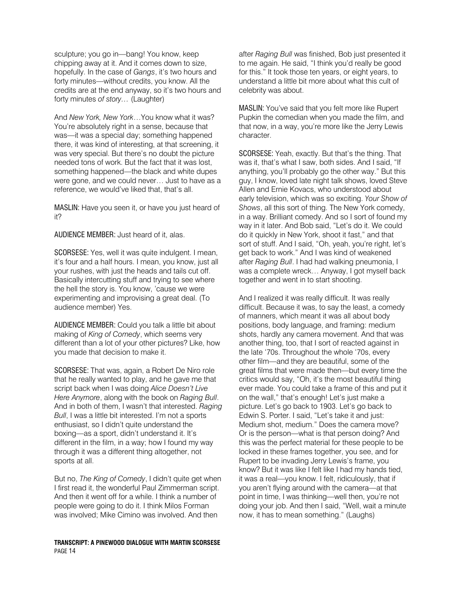sculpture; you go in—bang! You know, keep chipping away at it. And it comes down to size, hopefully. In the case of *Gangs*, it's two hours and forty minutes—without credits, you know. All the credits are at the end anyway, so it's two hours and forty minutes *of story…* (Laughter)

And *New York, New York*…You know what it was? You're absolutely right in a sense, because that was—it was a special day; something happened there, it was kind of interesting, at that screening, it was very special. But there's no doubt the picture needed tons of work. But the fact that it was lost, something happened—the black and white dupes were gone, and we could never… Just to have as a reference, we would've liked that, that's all.

MASLIN: Have you seen it, or have you just heard of it?

AUDIENCE MEMBER: Just heard of it, alas.

SCORSESE: Yes, well it was quite indulgent. I mean, it's four and a half hours. I mean, you know, just all your rushes, with just the heads and tails cut off. Basically intercutting stuff and trying to see where the hell the story is. You know, 'cause we were experimenting and improvising a great deal. (To audience member) Yes.

AUDIENCE MEMBER: Could you talk a little bit about making of *King of Comedy*, which seems very different than a lot of your other pictures? Like, how you made that decision to make it.

SCORSESE: That was, again, a Robert De Niro role that he really wanted to play, and he gave me that script back when I was doing *Alice Doesn't Live Here Anymore*, along with the book on *Raging Bull*. And in both of them, I wasn't that interested. *Raging Bull*, I was a little bit interested. I'm not a sports enthusiast, so I didn't quite understand the boxing—as a sport, didn't understand it. It's different in the film, in a way; how I found my way through it was a different thing altogether, not sports at all.

But no, *The King of Comedy*, I didn't quite get when I first read it, the wonderful Paul Zimmerman script. And then it went off for a while. I think a number of people were going to do it. I think Milos Forman was involved; Mike Cimino was involved. And then

**TRANSCRIPT: A PINEWOOD DIALOGUE WITH MARTIN SCORSESE**  PAGE 14

after *Raging Bull* was finished, Bob just presented it to me again. He said, "I think you'd really be good for this." It took those ten years, or eight years, to understand a little bit more about what this cult of celebrity was about.

MASLIN: You've said that you felt more like Rupert Pupkin the comedian when you made the film, and that now, in a way, you're more like the Jerry Lewis character.

SCORSESE: Yeah, exactly. But that's the thing. That was it, that's what I saw, both sides. And I said, "If anything, you'll probably go the other way." But this guy, I know, loved late night talk shows, loved Steve Allen and Ernie Kovacs, who understood about early television, which was so exciting. *Your Show of Shows*, all this sort of thing. The New York comedy, in a way. Brilliant comedy. And so I sort of found my way in it later. And Bob said, "Let's do it. We could do it quickly in New York, shoot it fast," and that sort of stuff. And I said, "Oh, yeah, you're right, let's get back to work." And I was kind of weakened after *Raging Bull*. I had had walking pneumonia, I was a complete wreck... Anyway, I got myself back together and went in to start shooting.

And I realized it was really difficult. It was really difficult. Because it was, to say the least, a comedy of manners, which meant it was all about body positions, body language, and framing: medium shots, hardly any camera movement. And that was another thing, too, that I sort of reacted against in the late '70s. Throughout the whole '70s, every other film—and they are beautiful, some of the great films that were made then—but every time the critics would say, "Oh, it's the most beautiful thing ever made. You could take a frame of this and put it on the wall," that's enough! Let's just make a picture. Let's go back to 1903. Let's go back to Edwin S. Porter. I said, "Let's take it and just: Medium shot, medium." Does the camera move? Or is the person—what is that person doing? And this was the perfect material for these people to be locked in these frames together, you see, and for Rupert to be invading Jerry Lewis's frame, you know? But it was like I felt like I had my hands tied, it was a real—you know. I felt, ridiculously, that if you aren't flying around with the camera—at that point in time, I was thinking—well then, you're not doing your job. And then I said, "Well, wait a minute now, it has to mean something." (Laughs)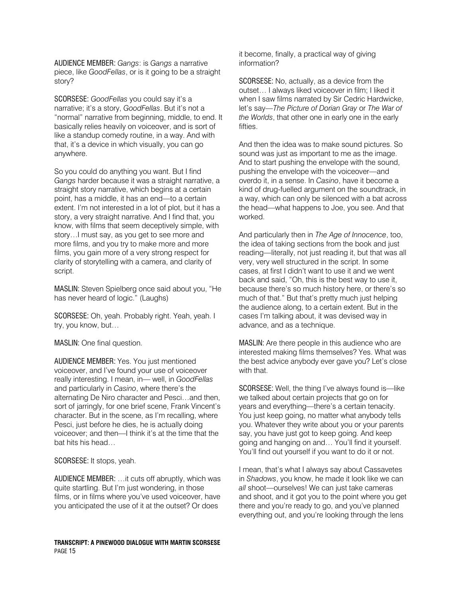AUDIENCE MEMBER: *Gangs*: is *Gangs* a narrative piece, like *GoodFellas*, or is it going to be a straight story?

SCORSESE: *GoodFellas* you could say it's a narrative; it's a story, *GoodFellas*. But it's not a "normal" narrative from beginning, middle, to end. It basically relies heavily on voiceover, and is sort of like a standup comedy routine, in a way. And with that, it's a device in which visually, you can go anywhere.

So you could do anything you want. But I find *Gangs* harder because it was a straight narrative, a straight story narrative, which begins at a certain point, has a middle, it has an end—to a certain extent. I'm not interested in a lot of plot, but it has a story, a very straight narrative. And I find that, you know, with films that seem deceptively simple, with story…I must say, as you get to see more and more films, and you try to make more and more films, you gain more of a very strong respect for clarity of storytelling with a camera, and clarity of script.

MASLIN: Steven Spielberg once said about you, "He has never heard of logic." (Laughs)

SCORSESE: Oh, yeah. Probably right. Yeah, yeah. I try, you know, but…

MASLIN: One final question.

AUDIENCE MEMBER: Yes. You just mentioned voiceover, and I've found your use of voiceover really interesting. I mean, in— well, in *GoodFellas* and particularly in *Casino*, where there's the alternating De Niro character and Pesci…and then, sort of jarringly, for one brief scene, Frank Vincent's character. But in the scene, as I'm recalling, where Pesci, just before he dies, he is actually doing voiceover; and then—I think it's at the time that the bat hits his head…

SCORSESE: It stops, yeah.

AUDIENCE MEMBER: …it cuts off abruptly, which was quite startling. But I'm just wondering, in those films, or in films where you've used voiceover, have you anticipated the use of it at the outset? Or does

**TRANSCRIPT: A PINEWOOD DIALOGUE WITH MARTIN SCORSESE**  PAGE 15

it become, finally, a practical way of giving information?

SCORSESE: No, actually, as a device from the outset… I always liked voiceover in film; I liked it when I saw films narrated by Sir Cedric Hardwicke, let's say—*The Picture of Dorian Gray* or *The War of the Worlds*, that other one in early one in the early fifties.

And then the idea was to make sound pictures. So sound was just as important to me as the image. And to start pushing the envelope with the sound, pushing the envelope with the voiceover—and overdo it, in a sense. In *Casino*, have it become a kind of drug-fuelled argument on the soundtrack, in a way, which can only be silenced with a bat across the head—what happens to Joe, you see. And that worked.

And particularly then in *The Age of Innocence*, too, the idea of taking sections from the book and just reading—literally, not just reading it, but that was all very, very well structured in the script. In some cases, at first I didn't want to use it and we went back and said, "Oh, this is the best way to use it, because there's so much history here, or there's so much of that." But that's pretty much just helping the audience along, to a certain extent. But in the cases I'm talking about, it was devised way in advance, and as a technique.

MASLIN: Are there people in this audience who are interested making films themselves? Yes. What was the best advice anybody ever gave you? Let's close with that.

SCORSESE: Well, the thing I've always found is—like we talked about certain projects that go on for years and everything—there's a certain tenacity. You just keep going, no matter what anybody tells you. Whatever they write about you or your parents say, you have just got to keep going. And keep going and hanging on and… You'll find it yourself. You'll find out yourself if you want to do it or not.

I mean, that's what I always say about Cassavetes in *Shadows*, you know, he made it look like we can *all* shoot—ourselves! We can just take cameras and shoot, and it got you to the point where you get there and you're ready to go, and you've planned everything out, and you're looking through the lens